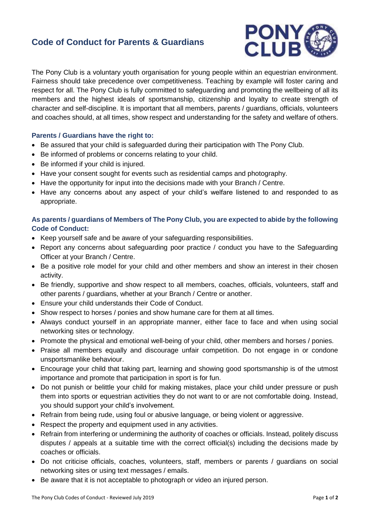## **Code of Conduct for Parents & Guardians**



The Pony Club is a voluntary youth organisation for young people within an equestrian environment. Fairness should take precedence over competitiveness. Teaching by example will foster caring and respect for all. The Pony Club is fully committed to safeguarding and promoting the wellbeing of all its members and the highest ideals of sportsmanship, citizenship and loyalty to create strength of character and self-discipline. It is important that all members, parents / guardians, officials, volunteers and coaches should, at all times, show respect and understanding for the safety and welfare of others.

## **Parents / Guardians have the right to:**

- Be assured that your child is safeguarded during their participation with The Pony Club.
- Be informed of problems or concerns relating to your child.
- Be informed if your child is injured.
- Have your consent sought for events such as residential camps and photography.
- Have the opportunity for input into the decisions made with your Branch / Centre.
- Have any concerns about any aspect of your child's welfare listened to and responded to as appropriate.

## **As parents / guardians of Members of The Pony Club, you are expected to abide by the following Code of Conduct:**

- Keep yourself safe and be aware of your safeguarding responsibilities.
- Report any concerns about safeguarding poor practice / conduct you have to the Safeguarding Officer at your Branch / Centre.
- Be a positive role model for your child and other members and show an interest in their chosen activity.
- Be friendly, supportive and show respect to all members, coaches, officials, volunteers, staff and other parents / guardians, whether at your Branch / Centre or another.
- Ensure your child understands their Code of Conduct.
- Show respect to horses / ponies and show humane care for them at all times.
- Always conduct yourself in an appropriate manner, either face to face and when using social networking sites or technology.
- Promote the physical and emotional well-being of your child, other members and horses / ponies.
- Praise all members equally and discourage unfair competition. Do not engage in or condone unsportsmanlike behaviour.
- Encourage your child that taking part, learning and showing good sportsmanship is of the utmost importance and promote that participation in sport is for fun.
- Do not punish or belittle your child for making mistakes, place your child under pressure or push them into sports or equestrian activities they do not want to or are not comfortable doing. Instead, you should support your child's involvement.
- Refrain from being rude, using foul or abusive language, or being violent or aggressive.
- Respect the property and equipment used in any activities.
- Refrain from interfering or undermining the authority of coaches or officials. Instead, politely discuss disputes / appeals at a suitable time with the correct official(s) including the decisions made by coaches or officials.
- Do not criticise officials, coaches, volunteers, staff, members or parents / guardians on social networking sites or using text messages / emails.
- Be aware that it is not acceptable to photograph or video an injured person.